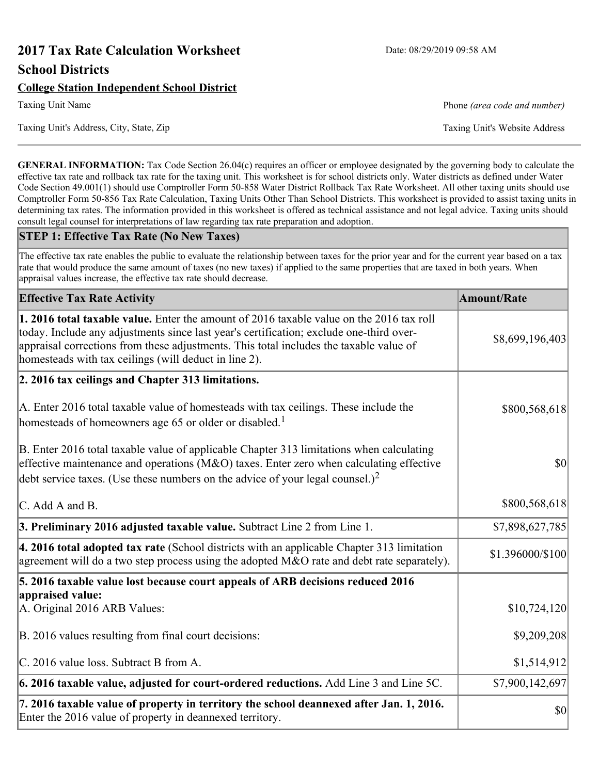# **2017 Tax Rate Calculation Worksheet** Date: 08/29/2019 09:58 AM **School Districts**

# **College Station Independent School District**

Taxing Unit Name **Phone** *(area code and number)* Phone *(area code and number)* 

Taxing Unit's Address, City, State, Zip Taxing Unit's Website Address

**GENERAL INFORMATION:** Tax Code Section 26.04(c) requires an officer or employee designated by the governing body to calculate the effective tax rate and rollback tax rate for the taxing unit. This worksheet is for school districts only. Water districts as defined under Water Code Section 49.001(1) should use Comptroller Form 50-858 Water District Rollback Tax Rate Worksheet. All other taxing units should use Comptroller Form 50-856 Tax Rate Calculation, Taxing Units Other Than School Districts. This worksheet is provided to assist taxing units in determining tax rates. The information provided in this worksheet is offered as technical assistance and not legal advice. Taxing units should consult legal counsel for interpretations of law regarding tax rate preparation and adoption.

#### **STEP 1: Effective Tax Rate (No New Taxes)**

The effective tax rate enables the public to evaluate the relationship between taxes for the prior year and for the current year based on a tax rate that would produce the same amount of taxes (no new taxes) if applied to the same properties that are taxed in both years. When appraisal values increase, the effective tax rate should decrease.

| <b>Effective Tax Rate Activity</b>                                                                                                                                                                                                                                                                                                     | <b>Amount/Rate</b> |
|----------------------------------------------------------------------------------------------------------------------------------------------------------------------------------------------------------------------------------------------------------------------------------------------------------------------------------------|--------------------|
| 1. 2016 total taxable value. Enter the amount of 2016 taxable value on the 2016 tax roll<br>today. Include any adjustments since last year's certification; exclude one-third over-<br>appraisal corrections from these adjustments. This total includes the taxable value of<br>homesteads with tax ceilings (will deduct in line 2). | \$8,699,196,403    |
| 2. 2016 tax ceilings and Chapter 313 limitations.                                                                                                                                                                                                                                                                                      |                    |
| A. Enter 2016 total taxable value of homesteads with tax ceilings. These include the<br>homesteads of homeowners age 65 or older or disabled. <sup>1</sup>                                                                                                                                                                             | \$800,568,618      |
| B. Enter 2016 total taxable value of applicable Chapter 313 limitations when calculating<br>effective maintenance and operations ( $M&O$ ) taxes. Enter zero when calculating effective<br>debt service taxes. (Use these numbers on the advice of your legal counsel.) <sup>2</sup>                                                   | $\vert$ so $\vert$ |
| $\mathcal{C}$ . Add A and B.                                                                                                                                                                                                                                                                                                           | \$800,568,618      |
| 3. Preliminary 2016 adjusted taxable value. Subtract Line 2 from Line 1.                                                                                                                                                                                                                                                               | \$7,898,627,785    |
| 4. 2016 total adopted tax rate (School districts with an applicable Chapter 313 limitation<br>agreement will do a two step process using the adopted M&O rate and debt rate separately).                                                                                                                                               | \$1.396000/\$100   |
| 5. 2016 taxable value lost because court appeals of ARB decisions reduced 2016                                                                                                                                                                                                                                                         |                    |
| appraised value:<br>A. Original 2016 ARB Values:                                                                                                                                                                                                                                                                                       | \$10,724,120       |
| B. 2016 values resulting from final court decisions:                                                                                                                                                                                                                                                                                   | \$9,209,208        |
| C. 2016 value loss. Subtract B from A.                                                                                                                                                                                                                                                                                                 | \$1,514,912        |
| $\vert$ 6. 2016 taxable value, adjusted for court-ordered reductions. Add Line 3 and Line 5C.                                                                                                                                                                                                                                          | \$7,900,142,697    |
| 7. 2016 taxable value of property in territory the school deannexed after Jan. 1, 2016.<br>Enter the 2016 value of property in deannexed territory.                                                                                                                                                                                    | $ 10\rangle$       |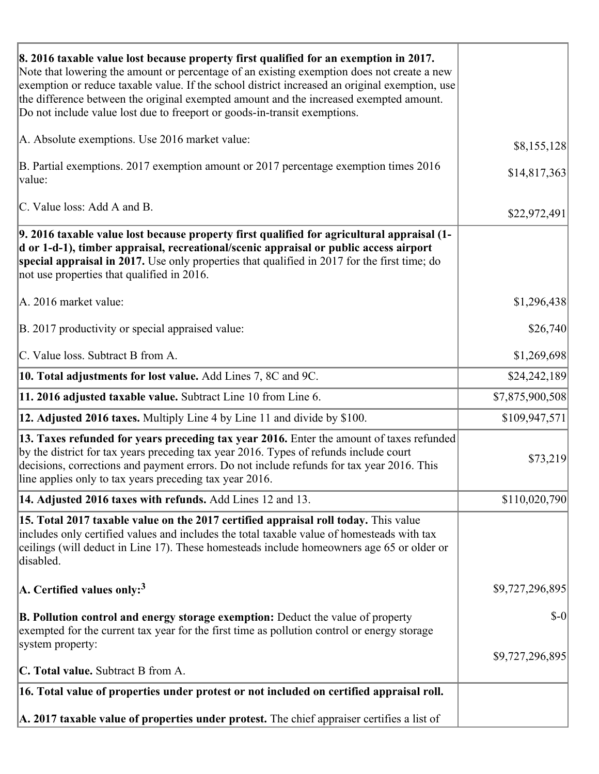| 8. 2016 taxable value lost because property first qualified for an exemption in 2017.<br>Note that lowering the amount or percentage of an existing exemption does not create a new<br>exemption or reduce taxable value. If the school district increased an original exemption, use<br>the difference between the original exempted amount and the increased exempted amount.<br>Do not include value lost due to freeport or goods-in-transit exemptions. |                 |
|--------------------------------------------------------------------------------------------------------------------------------------------------------------------------------------------------------------------------------------------------------------------------------------------------------------------------------------------------------------------------------------------------------------------------------------------------------------|-----------------|
| A. Absolute exemptions. Use 2016 market value:                                                                                                                                                                                                                                                                                                                                                                                                               | \$8,155,128     |
| B. Partial exemptions. 2017 exemption amount or 2017 percentage exemption times 2016<br>value:                                                                                                                                                                                                                                                                                                                                                               | \$14,817,363    |
| C. Value loss: Add A and B.                                                                                                                                                                                                                                                                                                                                                                                                                                  | \$22,972,491    |
| 9. 2016 taxable value lost because property first qualified for agricultural appraisal (1-<br>d or 1-d-1), timber appraisal, recreational/scenic appraisal or public access airport<br>special appraisal in 2017. Use only properties that qualified in 2017 for the first time; do<br>not use properties that qualified in 2016.                                                                                                                            |                 |
| A. 2016 market value:                                                                                                                                                                                                                                                                                                                                                                                                                                        | \$1,296,438     |
| B. 2017 productivity or special appraised value:                                                                                                                                                                                                                                                                                                                                                                                                             | \$26,740        |
| C. Value loss. Subtract B from A.                                                                                                                                                                                                                                                                                                                                                                                                                            | \$1,269,698     |
| <b>10. Total adjustments for lost value.</b> Add Lines 7, 8C and 9C.                                                                                                                                                                                                                                                                                                                                                                                         | \$24,242,189    |
| 11. 2016 adjusted taxable value. Subtract Line 10 from Line 6.                                                                                                                                                                                                                                                                                                                                                                                               | \$7,875,900,508 |
| <b>12. Adjusted 2016 taxes.</b> Multiply Line 4 by Line 11 and divide by \$100.                                                                                                                                                                                                                                                                                                                                                                              | \$109,947,571   |
| <b>13. Taxes refunded for years preceding tax year 2016.</b> Enter the amount of taxes refunded<br>by the district for tax years preceding tax year 2016. Types of refunds include court<br>decisions, corrections and payment errors. Do not include refunds for tax year 2016. This<br>line applies only to tax years preceding tax year 2016.                                                                                                             | \$73,219        |
| 14. Adjusted 2016 taxes with refunds. Add Lines 12 and 13.                                                                                                                                                                                                                                                                                                                                                                                                   | \$110,020,790   |
| 15. Total 2017 taxable value on the 2017 certified appraisal roll today. This value<br>includes only certified values and includes the total taxable value of homesteads with tax<br>ceilings (will deduct in Line 17). These homesteads include homeowners age 65 or older or<br>disabled.                                                                                                                                                                  |                 |
| A. Certified values only: <sup>3</sup>                                                                                                                                                                                                                                                                                                                                                                                                                       | \$9,727,296,895 |
| <b>B. Pollution control and energy storage exemption:</b> Deduct the value of property<br>exempted for the current tax year for the first time as pollution control or energy storage<br>system property:                                                                                                                                                                                                                                                    | $\delta$ -0     |
| <b>C. Total value.</b> Subtract B from A.                                                                                                                                                                                                                                                                                                                                                                                                                    | \$9,727,296,895 |
|                                                                                                                                                                                                                                                                                                                                                                                                                                                              |                 |
| 16. Total value of properties under protest or not included on certified appraisal roll.                                                                                                                                                                                                                                                                                                                                                                     |                 |
| A. 2017 taxable value of properties under protest. The chief appraiser certifies a list of                                                                                                                                                                                                                                                                                                                                                                   |                 |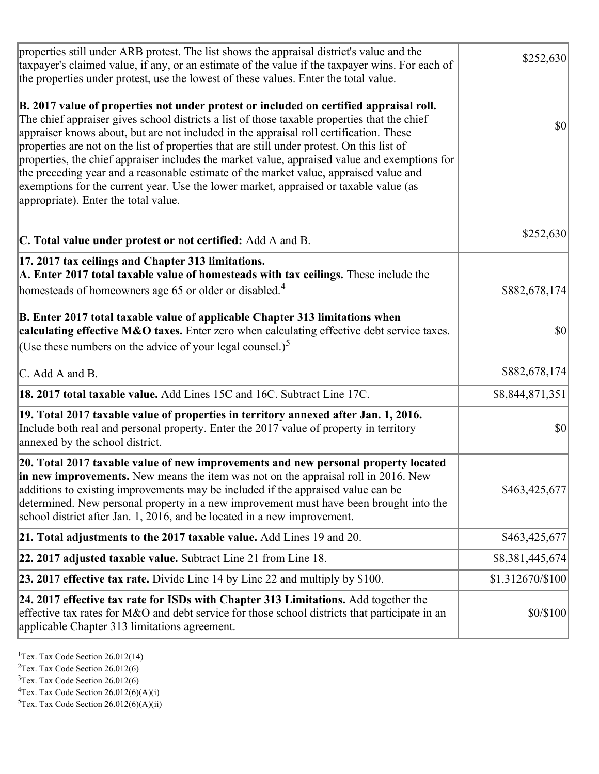| properties still under ARB protest. The list shows the appraisal district's value and the<br>taxpayer's claimed value, if any, or an estimate of the value if the taxpayer wins. For each of<br>the properties under protest, use the lowest of these values. Enter the total value.                                                                                                                                                                                                                                                                                                                                                                                                                      | \$252,630        |
|-----------------------------------------------------------------------------------------------------------------------------------------------------------------------------------------------------------------------------------------------------------------------------------------------------------------------------------------------------------------------------------------------------------------------------------------------------------------------------------------------------------------------------------------------------------------------------------------------------------------------------------------------------------------------------------------------------------|------------------|
| B. 2017 value of properties not under protest or included on certified appraisal roll.<br>The chief appraiser gives school districts a list of those taxable properties that the chief<br>appraiser knows about, but are not included in the appraisal roll certification. These<br>properties are not on the list of properties that are still under protest. On this list of<br>properties, the chief appraiser includes the market value, appraised value and exemptions for<br>the preceding year and a reasonable estimate of the market value, appraised value and<br>exemptions for the current year. Use the lower market, appraised or taxable value (as<br>appropriate). Enter the total value. | $ S_0 $          |
| C. Total value under protest or not certified: Add A and B.                                                                                                                                                                                                                                                                                                                                                                                                                                                                                                                                                                                                                                               | \$252,630        |
| 17. 2017 tax ceilings and Chapter 313 limitations.<br>A. Enter 2017 total taxable value of homesteads with tax ceilings. These include the<br>homesteads of homeowners age 65 or older or disabled. <sup>4</sup>                                                                                                                                                                                                                                                                                                                                                                                                                                                                                          | \$882,678,174    |
| B. Enter 2017 total taxable value of applicable Chapter 313 limitations when<br>calculating effective M&O taxes. Enter zero when calculating effective debt service taxes.<br>(Use these numbers on the advice of your legal counsel.) <sup>5</sup>                                                                                                                                                                                                                                                                                                                                                                                                                                                       | $ 10\rangle$     |
| C. Add A and B.                                                                                                                                                                                                                                                                                                                                                                                                                                                                                                                                                                                                                                                                                           | \$882,678,174    |
| 18. 2017 total taxable value. Add Lines 15C and 16C. Subtract Line 17C.                                                                                                                                                                                                                                                                                                                                                                                                                                                                                                                                                                                                                                   | \$8,844,871,351  |
| 19. Total 2017 taxable value of properties in territory annexed after Jan. 1, 2016.<br>Include both real and personal property. Enter the 2017 value of property in territory<br>annexed by the school district.                                                                                                                                                                                                                                                                                                                                                                                                                                                                                          | \$0              |
| 20. Total 2017 taxable value of new improvements and new personal property located<br>in new improvements. New means the item was not on the appraisal roll in 2016. New<br>additions to existing improvements may be included if the appraised value can be<br>determined. New personal property in a new improvement must have been brought into the<br>school district after Jan. 1, 2016, and be located in a new improvement.                                                                                                                                                                                                                                                                        | \$463,425,677    |
| 21. Total adjustments to the 2017 taxable value. Add Lines 19 and 20.                                                                                                                                                                                                                                                                                                                                                                                                                                                                                                                                                                                                                                     | \$463,425,677    |
| $ 22.2017$ adjusted taxable value. Subtract Line 21 from Line 18.                                                                                                                                                                                                                                                                                                                                                                                                                                                                                                                                                                                                                                         | \$8,381,445,674  |
| <b>23. 2017 effective tax rate.</b> Divide Line 14 by Line 22 and multiply by \$100.                                                                                                                                                                                                                                                                                                                                                                                                                                                                                                                                                                                                                      | \$1.312670/\$100 |
| 24. 2017 effective tax rate for ISDs with Chapter 313 Limitations. Add together the<br>effective tax rates for M&O and debt service for those school districts that participate in an<br>applicable Chapter 313 limitations agreement.                                                                                                                                                                                                                                                                                                                                                                                                                                                                    | \$0/\$100        |
|                                                                                                                                                                                                                                                                                                                                                                                                                                                                                                                                                                                                                                                                                                           |                  |

<sup>&</sup>lt;sup>1</sup>Tex. Tax Code Section  $26.012(14)$ 

<sup>&</sup>lt;sup>2</sup>Tex. Tax Code Section 26.012(6)

 $3$ Tex. Tax Code Section 26.012(6)

 ${}^{4}$ Tex. Tax Code Section 26.012(6)(A)(i)

 ${}^{5}$ Tex. Tax Code Section 26.012(6)(A)(ii)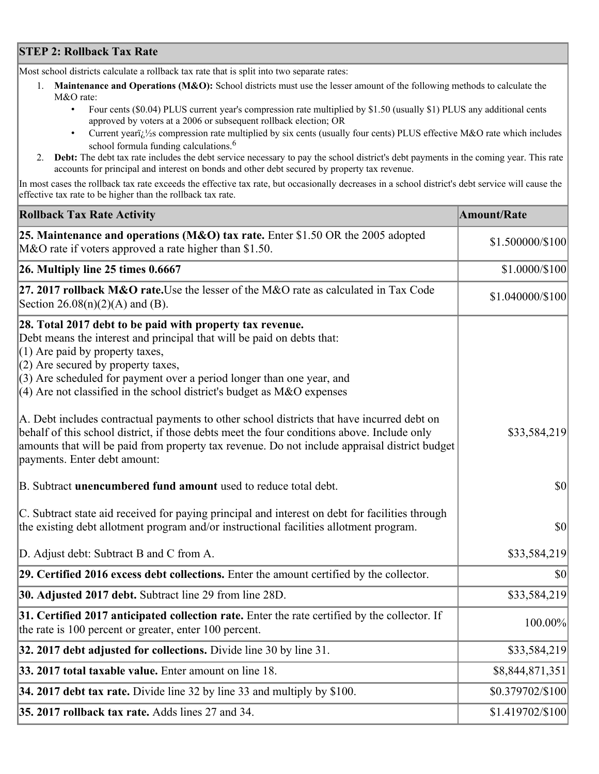## **STEP 2: Rollback Tax Rate**

Most school districts calculate a rollback tax rate that is split into two separate rates:

- 1. **Maintenance and Operations (M&O):** School districts must use the lesser amount of the following methods to calculate the M&O rate:
	- Four cents (\$0.04) PLUS current year's compression rate multiplied by \$1.50 (usually \$1) PLUS any additional cents approved by voters at a 2006 or subsequent rollback election; OR
	- Current year $i/\frac{1}{2}$ s compression rate multiplied by six cents (usually four cents) PLUS effective M&O rate which includes school formula funding calculations.<sup>6</sup>
- 2. **Debt:** The debt tax rate includes the debt service necessary to pay the school district's debt payments in the coming year. This rate accounts for principal and interest on bonds and other debt secured by property tax revenue.

In most cases the rollback tax rate exceeds the effective tax rate, but occasionally decreases in a school district's debt service will cause the effective tax rate to be higher than the rollback tax rate.

| <b>Rollback Tax Rate Activity</b>                                                                                                                                                                                                                                                                                                                                       | <b>Amount/Rate</b> |
|-------------------------------------------------------------------------------------------------------------------------------------------------------------------------------------------------------------------------------------------------------------------------------------------------------------------------------------------------------------------------|--------------------|
| 25. Maintenance and operations (M&O) tax rate. Enter \$1.50 OR the 2005 adopted<br>M&O rate if voters approved a rate higher than \$1.50.                                                                                                                                                                                                                               | \$1.500000/\$100   |
| $26.$ Multiply line 25 times $0.6667$                                                                                                                                                                                                                                                                                                                                   | \$1.0000/\$100     |
| 27. 2017 rollback M&O rate. Use the lesser of the M&O rate as calculated in Tax Code<br>Section $26.08(n)(2)(A)$ and (B).                                                                                                                                                                                                                                               | \$1.040000/\$100   |
| 28. Total 2017 debt to be paid with property tax revenue.<br>Debt means the interest and principal that will be paid on debts that:<br>$(1)$ Are paid by property taxes,<br>$(2)$ Are secured by property taxes,<br>$(3)$ Are scheduled for payment over a period longer than one year, and<br>$(4)$ Are not classified in the school district's budget as M&O expenses |                    |
| A. Debt includes contractual payments to other school districts that have incurred debt on<br>behalf of this school district, if those debts meet the four conditions above. Include only<br>amounts that will be paid from property tax revenue. Do not include appraisal district budget<br>payments. Enter debt amount:                                              | \$33,584,219       |
| B. Subtract unencumbered fund amount used to reduce total debt.                                                                                                                                                                                                                                                                                                         | \$0                |
| C. Subtract state aid received for paying principal and interest on debt for facilities through<br>the existing debt allotment program and/or instructional facilities allotment program.                                                                                                                                                                               | \$0                |
| D. Adjust debt: Subtract B and C from A.                                                                                                                                                                                                                                                                                                                                | \$33,584,219       |
| 29. Certified 2016 excess debt collections. Enter the amount certified by the collector.                                                                                                                                                                                                                                                                                | $ 10\rangle$       |
| 30. Adjusted 2017 debt. Subtract line 29 from line 28D.                                                                                                                                                                                                                                                                                                                 | \$33,584,219       |
| 31. Certified 2017 anticipated collection rate. Enter the rate certified by the collector. If<br>the rate is 100 percent or greater, enter 100 percent.                                                                                                                                                                                                                 | 100.00%            |
| $32.2017$ debt adjusted for collections. Divide line 30 by line 31.                                                                                                                                                                                                                                                                                                     | \$33,584,219       |
| 33. 2017 total taxable value. Enter amount on line 18.                                                                                                                                                                                                                                                                                                                  | \$8,844,871,351    |
| 34. 2017 debt tax rate. Divide line 32 by line 33 and multiply by \$100.                                                                                                                                                                                                                                                                                                | \$0.379702/\$100   |
| 35. 2017 rollback tax rate. Adds lines 27 and 34.                                                                                                                                                                                                                                                                                                                       | \$1.419702/\$100   |